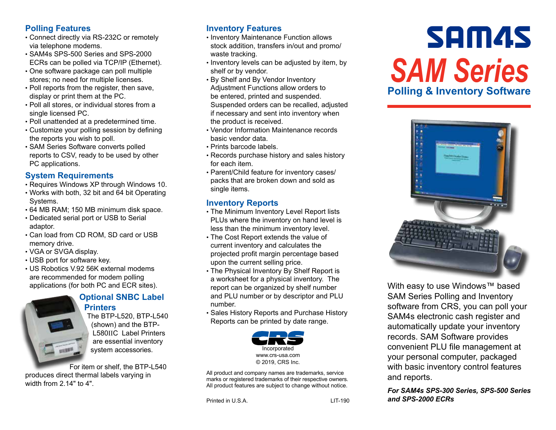# **Polling Features**

- Connect directly via RS-232C or remotely via telephone modems.
- SAM4s SPS-500 Series and SPS-2000 ECRs can be polled via TCP/IP (Ethernet).
- One software package can poll multiple stores; no need for multiple licenses.
- Poll reports from the register, then save, display or print them at the PC.
- Poll all stores, or individual stores from a single licensed PC.
- Poll unattended at a predetermined time.
- Customize your polling session by defining the reports you wish to poll.
- SAM Series Software converts polled reports to CSV, ready to be used by other PC applications.

## **System Requirements**

- Requires Windows XP through Windows 10.
- Works with both, 32 bit and 64 bit Operating Systems.
- 64 MB RAM; 150 MB minimum disk space.
- Dedicated serial port or USB to Serial adaptor.
- Can load from CD ROM, SD card or USB memory drive.
- VGA or SVGA display.
- USB port for software key.
- US Robotics V.92 56K external modems are recommended for modem polling applications (for both PC and ECR sites).



#### **Optional SNBC Label Printers**

The BTP-L520, BTP-L540 (shown) and the BTP-L580IIC Label Printers are essential inventory system accessories.

For item or shelf, the BTP-L540 produces direct thermal labels varying in width from 2.14" to 4".

# **Inventory Features**

- Inventory Maintenance Function allows stock addition, transfers in/out and promo/ waste tracking.
- Inventory levels can be adjusted by item, by shelf or by vendor.
- By Shelf and By Vendor Inventory Adjustment Functions allow orders to be entered, printed and suspended. Suspended orders can be recalled, adjusted if necessary and sent into inventory when the product is received.
- Vendor Information Maintenance records basic vendor data.
- Prints barcode labels.
- Records purchase history and sales history for each item.
- Parent/Child feature for inventory cases/ packs that are broken down and sold as single items.

# **Inventory Reports**

- The Minimum Inventory Level Report lists PLUs where the inventory on hand level is less than the minimum inventory level.
- The Cost Report extends the value of current inventory and calculates the projected profit margin percentage based upon the current selling price.
- The Physical Inventory By Shelf Report is a worksheet for a physical inventory. The report can be organized by shelf number and PLU number or by descriptor and PLU number.
- Sales History Reports and Purchase History Reports can be printed by date range.



All product and company names are trademarks, service marks or registered trademarks of their respective owners. All product features are subject to change without notice.

Printed in U.S.A. LIT-190

# **SAM4S** *SAM Series* **Polling & Inventory Software**



With easy to use Windows™ based SAM Series Polling and Inventory software from CRS, you can poll your SAM4s electronic cash register and automatically update your inventory records. SAM Software provides convenient PLU file management at your personal computer, packaged with basic inventory control features and reports.

#### *For SAM4s SPS-300 Series, SPS-500 Series and SPS-2000 ECRs*